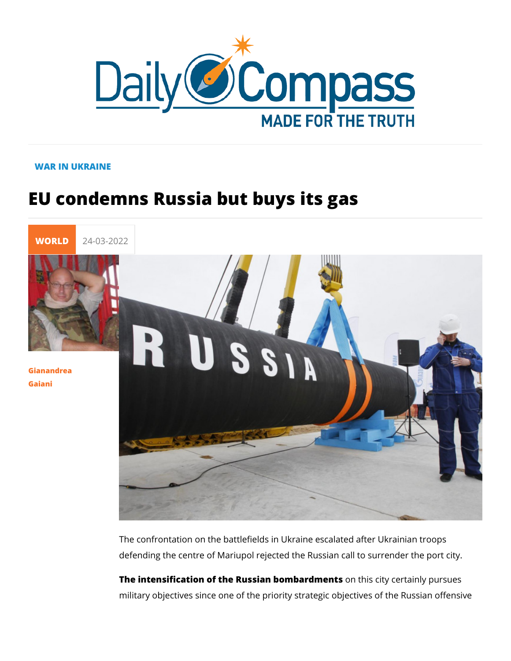## WAR IN UKRAINE

## EU condemns Russia but buys its gas

[WORL](https://newdailycompass.com/en/world)I 24-03-2022

[Gianandr](/en/gianandrea-gaiani-1)ea [Gaia](/en/gianandrea-gaiani-1)ni

> The confrontation on the battlefields in Ukraine escalated afte defending the centre of Mariupol rejected the Russian call to s

> The intensification of the Russian boombarids meinty scertainly purs military objectives since one of the priority strategic objective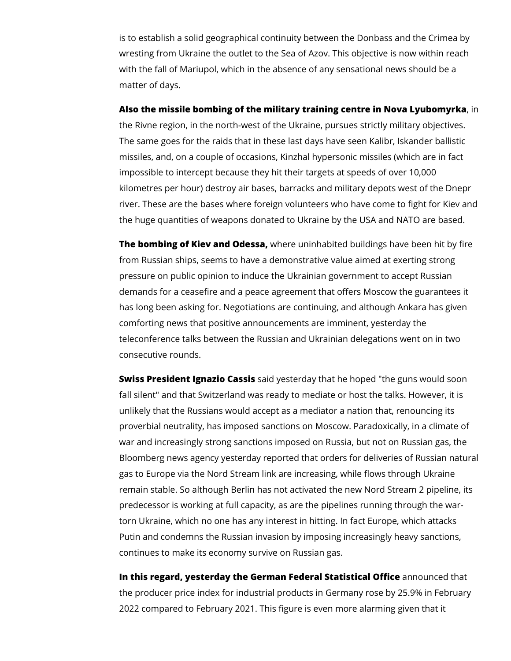is to establish a solid geographical continuity between the Donbass and the Crimea by wresting from Ukraine the outlet to the Sea of Azov. This objective is now within reach with the fall of Mariupol, which in the absence of any sensational news should be a matter of days.

**Also the missile bombing of the military training centre in Nova Lyubomyrka**, in the Rivne region, in the north-west of the Ukraine, pursues strictly military objectives. The same goes for the raids that in these last days have seen Kalibr, Iskander ballistic missiles, and, on a couple of occasions, Kinzhal hypersonic missiles (which are in fact impossible to intercept because they hit their targets at speeds of over 10,000 kilometres per hour) destroy air bases, barracks and military depots west of the Dnepr river. These are the bases where foreign volunteers who have come to fight for Kiev and the huge quantities of weapons donated to Ukraine by the USA and NATO are based.

**The bombing of Kiev and Odessa,** where uninhabited buildings have been hit by fire from Russian ships, seems to have a demonstrative value aimed at exerting strong pressure on public opinion to induce the Ukrainian government to accept Russian demands for a ceasefire and a peace agreement that offers Moscow the guarantees it has long been asking for. Negotiations are continuing, and although Ankara has given comforting news that positive announcements are imminent, yesterday the teleconference talks between the Russian and Ukrainian delegations went on in two consecutive rounds.

**Swiss President Ignazio Cassis** said yesterday that he hoped "the guns would soon fall silent" and that Switzerland was ready to mediate or host the talks. However, it is unlikely that the Russians would accept as a mediator a nation that, renouncing its proverbial neutrality, has imposed sanctions on Moscow. Paradoxically, in a climate of war and increasingly strong sanctions imposed on Russia, but not on Russian gas, the Bloomberg news agency yesterday reported that orders for deliveries of Russian natural gas to Europe via the Nord Stream link are increasing, while flows through Ukraine remain stable. So although Berlin has not activated the new Nord Stream 2 pipeline, its predecessor is working at full capacity, as are the pipelines running through the wartorn Ukraine, which no one has any interest in hitting. In fact Europe, which attacks Putin and condemns the Russian invasion by imposing increasingly heavy sanctions, continues to make its economy survive on Russian gas.

**In this regard, yesterday the German Federal Statistical Office** announced that the producer price index for industrial products in Germany rose by 25.9% in February 2022 compared to February 2021. This figure is even more alarming given that it